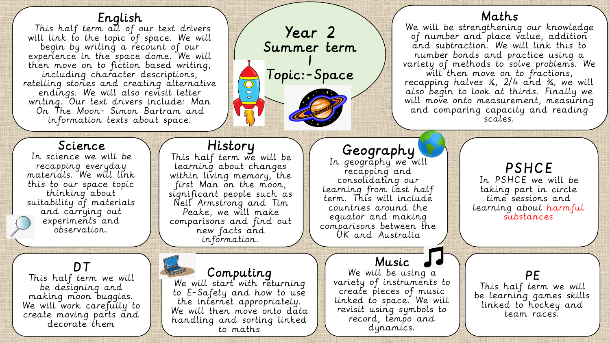### English

This half term all of our text drivers will link to the topic of space. We will begin by writing a recount of our experience in the space dome. We will then move on to fiction based writing, including character descriptions, retelling stories and creating alternative endings. We will also revisit letter writing. Our text drivers include: Man On The Moon- Simon Bartram and information texts about space.



### Maths

We will be strengthening our knowledge of number and place value, addition and subtraction. We will link this to number bonds and practice using a variety of methods to solve problems. We will then move on to fractions, recapping halves ¼, 2/4 and ¾, we will also begin to look at thirds. Finally we will move onto measurement, measuring and comparing capacity and reading scales.

### Science

In science we will be recapping everyday materials. We will link this to our space topic thinking about suitability of materials and carrying out experiments and observation.

 $DT$ This half term we will be designing and making moon buggies. We will work carefully to create moving parts and decorate them

# History

This half term we will be learning about changes within living memory, the first Man on the moon, significant people such as Neil Armstrong and Tim Peake, we will make comparisons and find out new facts and information.

# Computing

We will start with returning to E-Safety and how to use the internet appropriately. We will then move onto data handling and sorting linked to maths

# Geography

In geography we will recapping and consolidating our learning from last half term. This will include countries around the equator and making comparisons between the UK and Australia

## Music

We will be using a variety of instruments to create pieces of music linked to space. We will revisit using symbols to record, tempo and dynamics.

#### PSHCE In PSHCE we will be taking part in circle time sessions and learning about harmful substances

PE This half term we will be learning games skills linked to hockey and team races.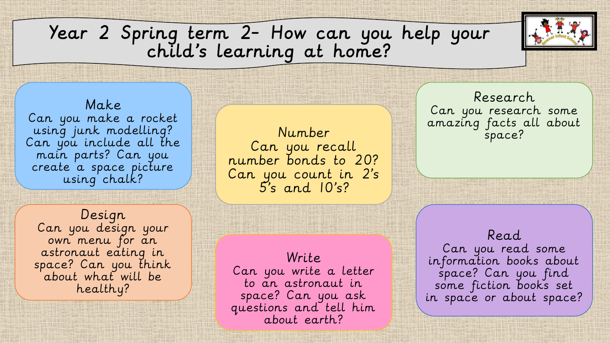

# Year 2 Spring term 2- How can you help your child's learning at home?

Make Can you make a rocket using junk modelling? Can you include all the main parts? Can you create a space picture using chalk?

Design Can you design your own menu for an astronaut eating in space? Can you think about what will be healthy?

Number Can you recall number bonds to 20? Can you count in 2's 5's and 10's?

Write Can you write a letter to an astronaut in space? Can you ask questions and tell him about earth?

Research Can you research some amazing facts all about space?

Read Can you read some information books about space? Can you find some fiction books set in space or about space?